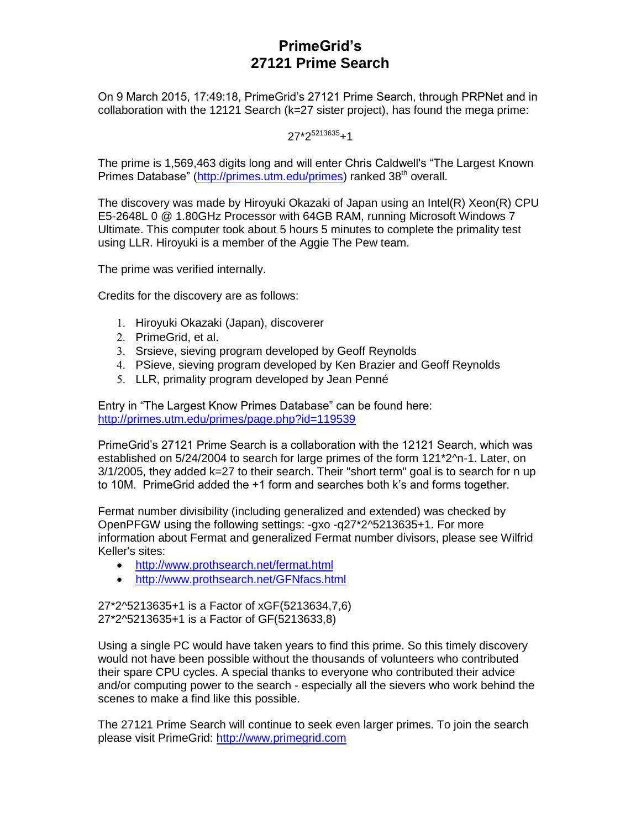## **PrimeGrid's 27121 Prime Search**

On 9 March 2015, 17:49:18, PrimeGrid's 27121 Prime Search, through PRPNet and in collaboration with the 12121 Search (k=27 sister project), has found the mega prime:

27\*2<sup>5213635</sup>+1

The prime is 1,569,463 digits long and will enter Chris Caldwell's "The Largest Known Primes Database" [\(http://primes.utm.edu/primes\)](http://primes.utm.edu/primes) ranked 38<sup>th</sup> overall.

The discovery was made by Hiroyuki Okazaki of Japan using an Intel(R) Xeon(R) CPU E5-2648L 0 @ 1.80GHz Processor with 64GB RAM, running Microsoft Windows 7 Ultimate. This computer took about 5 hours 5 minutes to complete the primality test using LLR. Hiroyuki is a member of the Aggie The Pew team.

The prime was verified internally.

Credits for the discovery are as follows:

- 1. Hiroyuki Okazaki (Japan), discoverer
- 2. PrimeGrid, et al.
- Srsieve, sieving program developed by Geoff Reynolds
- PSieve, sieving program developed by Ken Brazier and Geoff Reynolds
- 5. LLR, primality program developed by Jean Penné

Entry in "The Largest Know Primes Database" can be found here: <http://primes.utm.edu/primes/page.php?id=119539>

PrimeGrid's 27121 Prime Search is a collaboration with the 12121 Search, which was established on 5/24/2004 to search for large primes of the form 121\*2^n-1. Later, on 3/1/2005, they added k=27 to their search. Their "short term" goal is to search for n up to 10M. PrimeGrid added the +1 form and searches both k's and forms together.

Fermat number divisibility (including generalized and extended) was checked by OpenPFGW using the following settings: -gxo -q27\*2^5213635+1. For more information about Fermat and generalized Fermat number divisors, please see Wilfrid Keller's sites:

- <http://www.prothsearch.net/fermat.html>
- <http://www.prothsearch.net/GFNfacs.html>

27\*2^5213635+1 is a Factor of xGF(5213634,7,6) 27\*2^5213635+1 is a Factor of GF(5213633,8)

Using a single PC would have taken years to find this prime. So this timely discovery would not have been possible without the thousands of volunteers who contributed their spare CPU cycles. A special thanks to everyone who contributed their advice and/or computing power to the search - especially all the sievers who work behind the scenes to make a find like this possible.

The 27121 Prime Search will continue to seek even larger primes. To join the search please visit PrimeGrid: [http://www.primegrid.com](http://www.primegrid.com/)